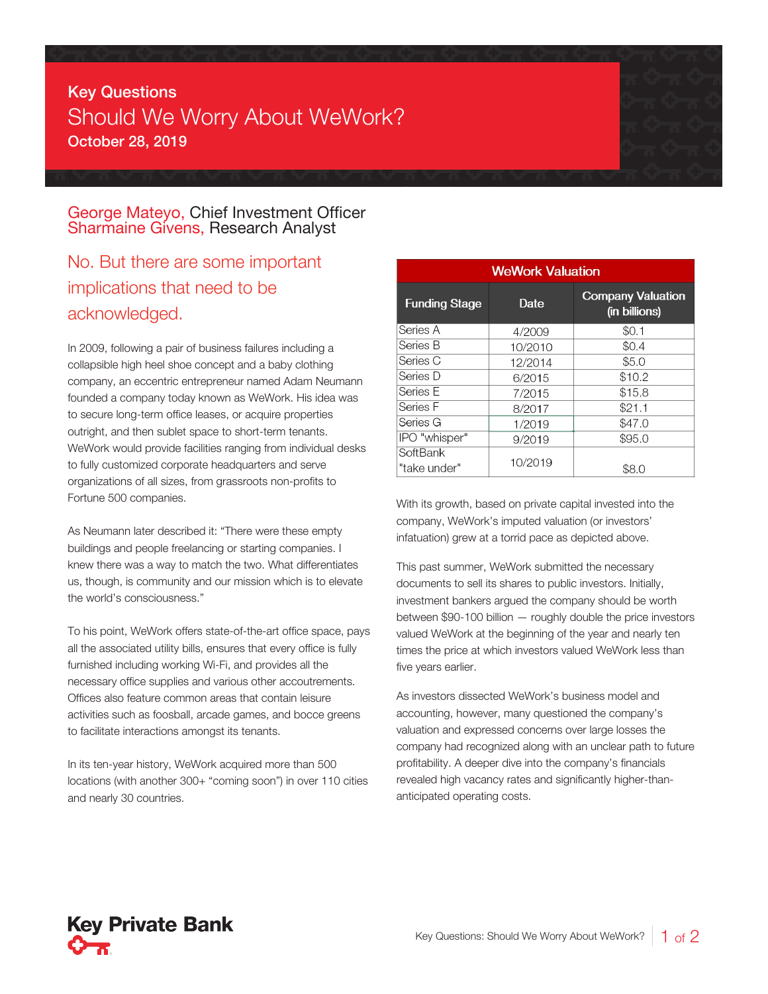## Key Questions Should We Worry About WeWork? October 28, 2019

## George Mateyo, Chief Investment Officer Sharmaine Givens, Research Analyst

## No. But there are some important implications that need to be acknowledged.

In 2009, following a pair of business failures including a collapsible high heel shoe concept and a baby clothing company, an eccentric entrepreneur named Adam Neumann founded a company today known as WeWork. His idea was to secure long-term office leases, or acquire properties outright, and then sublet space to short-term tenants. WeWork would provide facilities ranging from individual desks to fully customized corporate headquarters and serve organizations of all sizes, from grassroots non-profits to Fortune 500 companies.

As Neumann later described it: "There were these empty buildings and people freelancing or starting companies. I knew there was a way to match the two. What differentiates us, though, is community and our mission which is to elevate the world's consciousness."

To his point, WeWork offers state-of-the-art office space, pays all the associated utility bills, ensures that every office is fully furnished including working Wi-Fi, and provides all the necessary office supplies and various other accoutrements. Offices also feature common areas that contain leisure activities such as foosball, arcade games, and bocce greens to facilitate interactions amongst its tenants.

In its ten-year history, WeWork acquired more than 500 locations (with another 300+ "coming soon") in over 110 cities and nearly 30 countries.

| <b>WeWork Valuation</b>  |         |                                           |
|--------------------------|---------|-------------------------------------------|
| <b>Funding Stage</b>     | Date    | <b>Company Valuation</b><br>(in billions) |
| Series A                 | 4/2009  | \$0.1                                     |
| Series B                 | 10/2010 | \$0.4                                     |
| Series C                 | 12/2014 | \$5.0                                     |
| Series D                 | 6/2015  | \$10.2                                    |
| Series E                 | 7/2015  | \$15.8                                    |
| Series F                 | 8/2017  | \$21.1                                    |
| Series G                 | 1/2019  | \$47.0                                    |
| IPO "whisper"            | 9/2019  | \$95.0                                    |
| SoftBank<br>"take under" | 10/2019 | \$8.0                                     |

With its growth, based on private capital invested into the company, WeWork's imputed valuation (or investors' infatuation) grew at a torrid pace as depicted above.

This past summer, WeWork submitted the necessary documents to sell its shares to public investors. Initially, investment bankers argued the company should be worth between \$90-100 billion — roughly double the price investors valued WeWork at the beginning of the year and nearly ten times the price at which investors valued WeWork less than five years earlier.

As investors dissected WeWork's business model and accounting, however, many questioned the company's valuation and expressed concerns over large losses the company had recognized along with an unclear path to future profitability. A deeper dive into the company's financials revealed high vacancy rates and significantly higher-thananticipated operating costs.